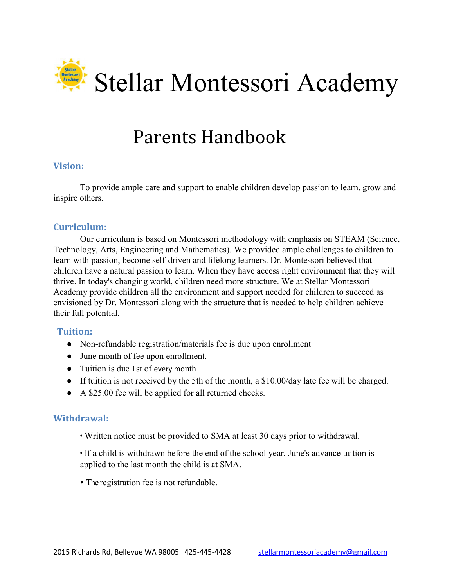

# Parents Handbook

# Vision:

To provide ample care and support to enable children develop passion to learn, grow and inspire others.

#### Curriculum:

Our curriculum is based on Montessori methodology with emphasis on STEAM (Science, Technology, Arts, Engineering and Mathematics). We provided ample challenges to children to learn with passion, become self-driven and lifelong learners. Dr. Montessori believed that children have a natural passion to learn. When they have access right environment that they will thrive. In today's changing world, children need more structure. We at Stellar Montessori Academy provide children all the environment and support needed for children to succeed as envisioned by Dr. Montessori along with the structure that is needed to help children achieve their full potential.

#### Tuition:

- Non-refundable registration/materials fee is due upon enrollment
- June month of fee upon enrollment.
- Tuition is due 1st of every month
- If tuition is not received by the 5th of the month, a \$10.00/day late fee will be charged.
- A \$25.00 fee will be applied for all returned checks.

#### Withdrawal:

• Written notice must be provided to SMA at least 30 days prior to withdrawal.

• If a child is withdrawn before the end of the school year, June's advance tuition is applied to the last month the child is at SMA.

∙ The registration fee is not refundable.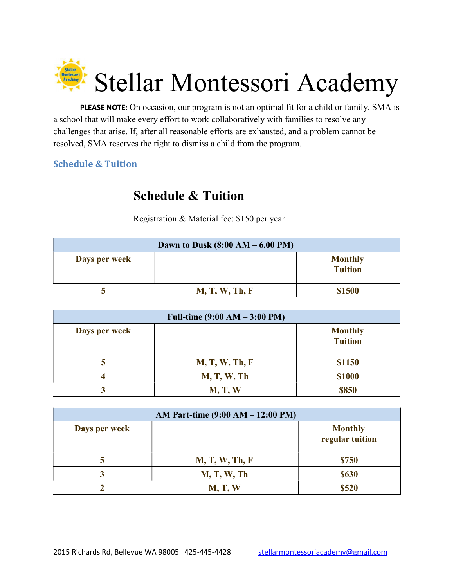

PLEASE NOTE: On occasion, our program is not an optimal fit for a child or family. SMA is a school that will make every effort to work collaboratively with families to resolve any challenges that arise. If, after all reasonable efforts are exhausted, and a problem cannot be resolved, SMA reserves the right to dismiss a child from the program.

# Schedule & Tuition

# Schedule & Tuition

Registration & Material fee: \$150 per year

| Dawn to Dusk $(8:00 AM - 6.00 PM)$ |                |                                  |
|------------------------------------|----------------|----------------------------------|
| Days per week                      |                | <b>Monthly</b><br><b>Tuition</b> |
|                                    | M, T, W, Th, F | \$1500                           |

| Full-time $(9:00 AM - 3:00 PM)$ |                    |                                  |  |
|---------------------------------|--------------------|----------------------------------|--|
| Days per week                   |                    | <b>Monthly</b><br><b>Tuition</b> |  |
|                                 | M, T, W, Th, F     | \$1150                           |  |
|                                 | <b>M, T, W, Th</b> | \$1000                           |  |
|                                 | <b>M, T, W</b>     | \$850                            |  |

| AM Part-time (9:00 AM – 12:00 PM) |                    |                                   |
|-----------------------------------|--------------------|-----------------------------------|
| Days per week                     |                    | <b>Monthly</b><br>regular tuition |
|                                   | M, T, W, Th, F     | \$750                             |
| 3                                 | <b>M, T, W, Th</b> | <b>\$630</b>                      |
|                                   | <b>M, T, W</b>     | \$520                             |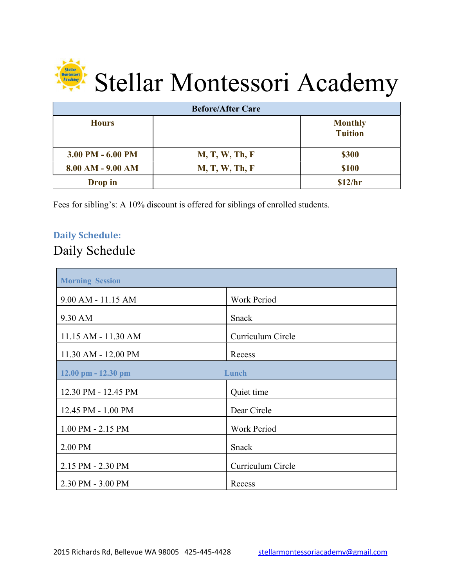

| <b>Before/After Care</b> |                       |                                  |
|--------------------------|-----------------------|----------------------------------|
| <b>Hours</b>             |                       | <b>Monthly</b><br><b>Tuition</b> |
| $3.00$ PM $- 6.00$ PM    | <b>M, T, W, Th, F</b> | \$300                            |
| $8.00 AM - 9.00 AM$      | <b>M, T, W, Th, F</b> | <b>\$100</b>                     |
| Drop in                  |                       | \$12/hr                          |

Fees for sibling's: A 5% discount is offered for siblings of enrolled students.

# Daily Schedule:

# Daily Schedule

| <b>Morning Session</b>  |                    |
|-------------------------|--------------------|
| 9.00 AM - 11.15 AM      | <b>Work Period</b> |
| 9.30 AM                 | Snack              |
| 11.15 AM - 11.30 AM     | Curriculum Circle  |
| 11.30 AM - 12.00 PM     | Recess             |
| $12.00$ pm $- 12.30$ pm | Lunch              |
| 12.30 PM - 12.45 PM     | Quiet time         |
| 12.45 PM - 1.00 PM      | Dear Circle        |
| 1.00 PM - 2.15 PM       | <b>Work Period</b> |
| 2.00 PM                 | Snack              |
| 2.15 PM - 2.30 PM       | Curriculum Circle  |
| 2.30 PM - 3.00 PM       | Recess             |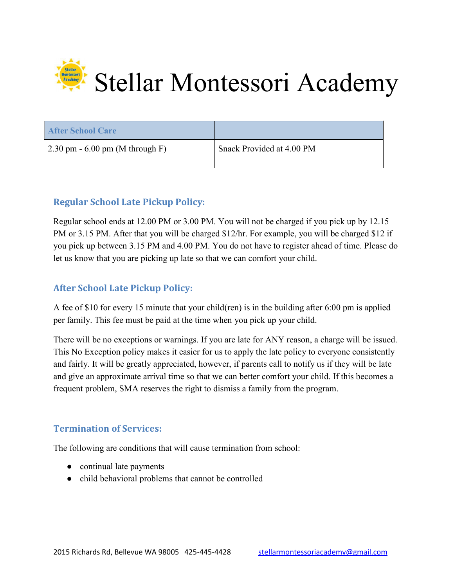

| <b>After School Care</b>         |                           |
|----------------------------------|---------------------------|
| 2.30 pm $-6.00$ pm (M through F) | Snack Provided at 4.00 PM |

# Regular School Late Pickup Policy:

Regular school ends at 12.00 PM or 3.00 PM. You will not be charged if you pick up by 12.15 PM or 3.15 PM. After that you will be charged \$12/hr. For example, you will be charged \$12 if you pick up between 3.15 PM and 4.00 PM. You do not have to register ahead of time. Please do let us know that you are picking up late so that we can comfort your child.

#### After School Late Pickup Policy:

A fee of \$10 for every 15 minute that your child(ren) is in the building after 6:00 pm is applied per family. This fee must be paid at the time when you pick up your child.

There will be no exceptions or warnings. If you are late for ANY reason, a charge will be issued. This No Exception policy makes it easier for us to apply the late policy to everyone consistently and fairly. It will be greatly appreciated, however, if parents call to notify us if they will be late and give an approximate arrival time so that we can better comfort your child. If this becomes a frequent problem, SMA reserves the right to dismiss a family from the program.

#### Termination of Services:

The following are conditions that will cause termination from school:

- continual late payments
- child behavioral problems that cannot be controlled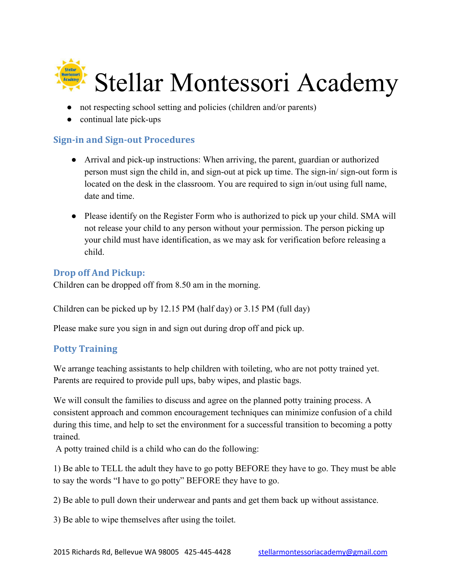

- not respecting school setting and policies (children and/or parents)
- continual late pick-ups

# Sign-in and Sign-out Procedures

- Arrival and pick-up instructions: When arriving, the parent, guardian or authorized person must sign the child in, and sign-out at pick up time. The sign-in/ sign-out form is located on the desk in the classroom. You are required to sign in/out using full name, date and time.
- Please identify on the Register Form who is authorized to pick up your child. SMA will not release your child to any person without your permission. The person picking up your child must have identification, as we may ask for verification before releasing a child.

# Drop off And Pickup:

Children can be dropped off from 8.50 am in the morning.

Children can be picked up by 12.15 PM (half day) or 3.15 PM (full day)

Please make sure you sign in and sign out during drop off and pick up.

#### Potty Training

We arrange teaching assistants to help children with toileting, who are not potty trained yet. Parents are required to provide pull ups, baby wipes, and plastic bags.

We will consult the families to discuss and agree on the planned potty training process. A consistent approach and common encouragement techniques can minimize confusion of a child during this time, and help to set the environment for a successful transition to becoming a potty trained.

A potty trained child is a child who can do the following:

1) Be able to TELL the adult they have to go potty BEFORE they have to go. They must be able to say the words "I have to go potty" BEFORE they have to go.

2) Be able to pull down their underwear and pants and get them back up without assistance.

3) Be able to wipe themselves after using the toilet.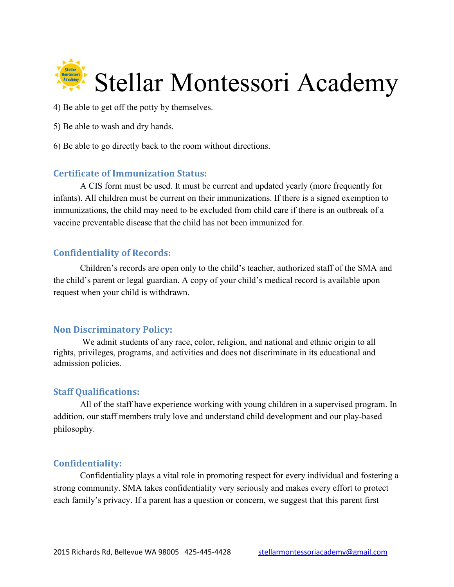

- 4) Be able to get off the potty by themselves.
- 5) Be able to wash and dry hands.
- 6) Be able to go directly back to the room without directions.

#### Certificate of Immunization Status:

A CIS form must be used. It must be current and updated yearly (more frequently for infants). All children must be current on their immunizations. If there is a signed exemption to immunizations, the child may need to be excluded from child care if there is an outbreak of a vaccine preventable disease that the child has not been immunized for.

#### Confidentiality of Records:

Children's records are open only to the child's teacher, authorized staff of the SMA and the child's parent or legal guardian. A copy of your child's medical record is available upon request when your child is withdrawn.

#### Non Discriminatory Policy:

We admit students of any race, color, religion, and national and ethnic origin to all rights, privileges, programs, and activities and does not discriminate in its educational and admission policies.

#### Staff Qualifications:

All of the staff have experience working with young children in a supervised program. In addition, our staff members truly love and understand child development and our play-based philosophy.

#### Confidentiality:

Confidentiality plays a vital role in promoting respect for every individual and fostering a strong community. SMA takes confidentiality very seriously and makes every effort to protect each family's privacy. If a parent has a question or concern, we suggest that this parent first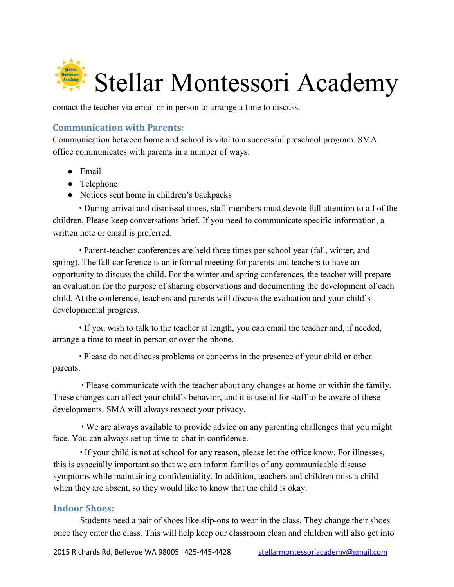

contact the teacher via email or in person to arrange a time to discuss.

#### Communication with Parents:

Communication between home and school is vital to a successful preschool program. SMA office communicates with parents in a number of ways:

- Email
- Telephone
- Notices sent home in children's backpacks

• During arrival and dismissal times, staff members must devote full attention to all of the children. Please keep conversations brief. If you need to communicate specific information, a written note or email is preferred.

• Parent-teacher conferences are held three times per school year (fall, winter, and spring). The fall conference is an informal meeting for parents and teachers to have an opportunity to discuss the child. For the winter and spring conferences, the teacher will prepare an evaluation for the purpose of sharing observations and documenting the development of each child. At the conference, teachers and parents will discuss the evaluation and your child's developmental progress.

• If you wish to talk to the teacher at length, you can email the teacher and, if needed, arrange a time to meet in person or over the phone.

• Please do not discuss problems or concerns in the presence of your child or other parents.

• Please communicate with the teacher about any changes at home or within the family. These changes can affect your child's behavior, and it is useful for staff to be aware of these developments. SMA will always respect your privacy.

• We are always available to provide advice on any parenting challenges that you might face. You can always set up time to chat in confidence.

• If your child is not at school for any reason, please let the office know. For illnesses, this is especially important so that we can inform families of any communicable disease symptoms while maintaining confidentiality. In addition, teachers and children miss a child when they are absent, so they would like to know that the child is okay.

#### Indoor Shoes:

Students need a pair of shoes like slip-ons to wear in the class. They change their shoes once they enter the class. This will help keep our classroom clean and children will also get into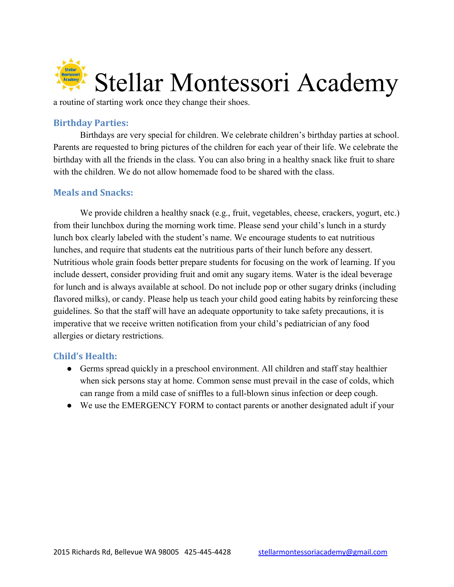

a routine of starting work once they change their shoes.

#### Birthday Parties:

Birthdays are very special for children. We celebrate children's birthday parties at school. Parents are requested to bring pictures of the children for each year of their life. We celebrate the birthday with all the friends in the class. You can also bring in a healthy snack like fruit to share with the children. We do not allow homemade food to be shared with the class.

#### Meals and Snacks:

We provide children a healthy snack (e.g., fruit, vegetables, cheese, crackers, yogurt, etc.) from their lunchbox during the morning work time. Please send your child's lunch in a sturdy lunch box clearly labeled with the student's name. We encourage students to eat nutritious lunches, and require that students eat the nutritious parts of their lunch before any dessert. Nutritious whole grain foods better prepare students for focusing on the work of learning. If you include dessert, consider providing fruit and omit any sugary items. Water is the ideal beverage for lunch and is always available at school. Do not include pop or other sugary drinks (including flavored milks), or candy. Please help us teach your child good eating habits by reinforcing these guidelines. So that the staff will have an adequate opportunity to take safety precautions, it is imperative that we receive written notification from your child's pediatrician of any food allergies or dietary restrictions.

#### Child's Health:

- Germs spread quickly in a preschool environment. All children and staff stay healthier when sick persons stay at home. Common sense must prevail in the case of colds, which can range from a mild case of sniffles to a full-blown sinus infection or deep cough.
- We use the EMERGENCY FORM to contact parents or another designated adult if your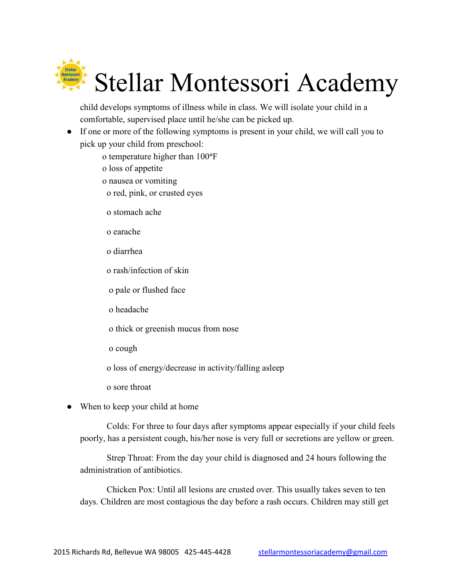

child develops symptoms of illness while in class. We will isolate your child in a comfortable, supervised place until he/she can be picked up.

- If one or more of the following symptoms is present in your child, we will call you to pick up your child from preschool:
	- o temperature higher than 100°F
	- o loss of appetite
	- o nausea or vomiting
		- o red, pink, or crusted eyes
	- o stomach ache
	- o earache
	- o diarrhea
	- o rash/infection of skin
	- o pale or flushed face
	- o headache
	- o thick or greenish mucus from nose
	- o cough
	- o loss of energy/decrease in activity/falling asleep
	- o sore throat
- When to keep your child at home

Colds: For three to four days after symptoms appear especially if your child feels poorly, has a persistent cough, his/her nose is very full or secretions are yellow or green.

Strep Throat: From the day your child is diagnosed and 24 hours following the administration of antibiotics.

Chicken Pox: Until all lesions are crusted over. This usually takes seven to ten days. Children are most contagious the day before a rash occurs. Children may still get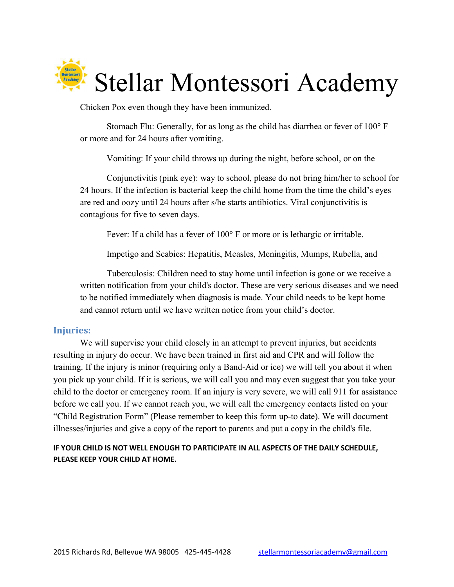

Chicken Pox even though they have been immunized.

Stomach Flu: Generally, for as long as the child has diarrhea or fever of 100° F or more and for 24 hours after vomiting.

Vomiting: If your child throws up during the night, before school, or on the

Conjunctivitis (pink eye): way to school, please do not bring him/her to school for 24 hours. If the infection is bacterial keep the child home from the time the child's eyes are red and oozy until 24 hours after s/he starts antibiotics. Viral conjunctivitis is contagious for five to seven days.

Fever: If a child has a fever of 100° F or more or is lethargic or irritable.

Impetigo and Scabies: Hepatitis, Measles, Meningitis, Mumps, Rubella, and

Tuberculosis: Children need to stay home until infection is gone or we receive a written notification from your child's doctor. These are very serious diseases and we need to be notified immediately when diagnosis is made. Your child needs to be kept home and cannot return until we have written notice from your child's doctor.

#### Injuries:

We will supervise your child closely in an attempt to prevent injuries, but accidents resulting in injury do occur. We have been trained in first aid and CPR and will follow the training. If the injury is minor (requiring only a Band-Aid or ice) we will tell you about it when you pick up your child. If it is serious, we will call you and may even suggest that you take your child to the doctor or emergency room. If an injury is very severe, we will call 911 for assistance before we call you. If we cannot reach you, we will call the emergency contacts listed on your "Child Registration Form" (Please remember to keep this form up-to date). We will document illnesses/injuries and give a copy of the report to parents and put a copy in the child's file.

#### IF YOUR CHILD IS NOT WELL ENOUGH TO PARTICIPATE IN ALL ASPECTS OF THE DAILY SCHEDULE, PLEASE KEEP YOUR CHILD AT HOME.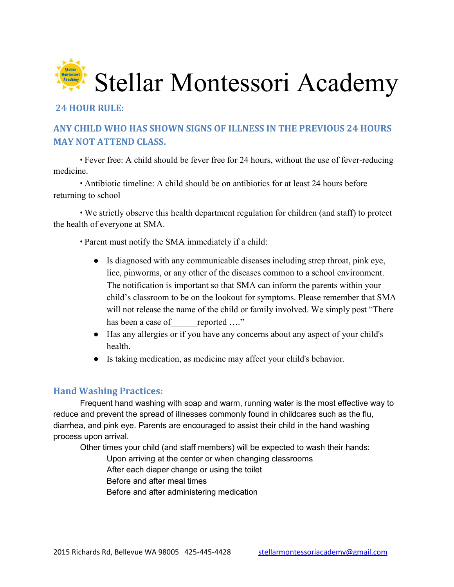

#### 24 HOUR RULE:

# ANY CHILD WHO HAS SHOWN SIGNS OF ILLNESS IN THE PREVIOUS 24 HOURS MAY NOT ATTEND CLASS.

• Fever free: A child should be fever free for 24 hours, without the use of fever-reducing medicine.

• Antibiotic timeline: A child should be on antibiotics for at least 24 hours before returning to school

• We strictly observe this health department regulation for children (and staff) to protect the health of everyone at SMA.

• Parent must notify the SMA immediately if a child:

- Is diagnosed with any communicable diseases including strep throat, pink eye, lice, pinworms, or any other of the diseases common to a school environment. The notification is important so that SMA can inform the parents within your child's classroom to be on the lookout for symptoms. Please remember that SMA will not release the name of the child or family involved. We simply post "There" has been a case of reported ...."
- Has any allergies or if you have any concerns about any aspect of your child's health.
- Is taking medication, as medicine may affect your child's behavior.

#### Hand Washing Practices:

Frequent hand washing with soap and warm, running water is the most effective way to reduce and prevent the spread of illnesses commonly found in childcares such as the flu, diarrhea, and pink eye. Parents are encouraged to assist their child in the hand washing process upon arrival.

Other times your child (and staff members) will be expected to wash their hands:

- Upon arriving at the center or when changing classrooms After each diaper change or using the toilet
- Before and after meal times
- Before and after administering medication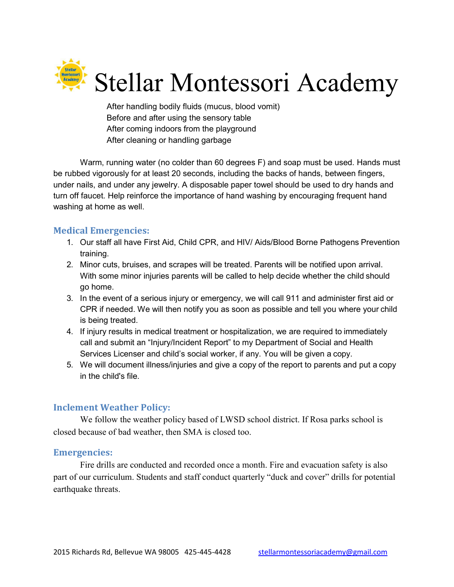

After handling bodily fluids (mucus, blood vomit) Before and after using the sensory table After coming indoors from the playground After cleaning or handling garbage

Warm, running water (no colder than 60 degrees F) and soap must be used. Hands must be rubbed vigorously for at least 20 seconds, including the backs of hands, between fingers, under nails, and under any jewelry. A disposable paper towel should be used to dry hands and turn off faucet. Help reinforce the importance of hand washing by encouraging frequent hand washing at home as well.

#### Medical Emergencies:

- 1. Our staff all have First Aid, Child CPR, and HIV/ Aids/Blood Borne Pathogens Prevention training.
- 2. Minor cuts, bruises, and scrapes will be treated. Parents will be notified upon arrival. With some minor injuries parents will be called to help decide whether the child should go home.
- 3. In the event of a serious injury or emergency, we will call 911 and administer first aid or CPR if needed. We will then notify you as soon as possible and tell you where your child is being treated.
- 4. If injury results in medical treatment or hospitalization, we are required to immediately call and submit an "Injury/Incident Report" to my Department of Social and Health Services Licenser and child's social worker, if any. You will be given a copy.
- 5. We will document illness/injuries and give a copy of the report to parents and put a copy in the child's file.

# Inclement Weather Policy:

We follow the weather policy based of LWSD school district. If Rosa parks school is closed because of bad weather, then SMA is closed too.

#### Emergencies:

Fire drills are conducted and recorded once a month. Fire and evacuation safety is also part of our curriculum. Students and staff conduct quarterly "duck and cover" drills for potential earthquake threats.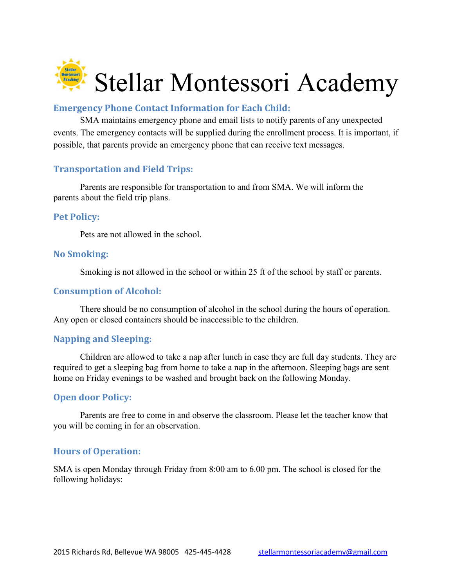

#### Emergency Phone Contact Information for Each Child:

SMA maintains emergency phone and email lists to notify parents of any unexpected events. The emergency contacts will be supplied during the enrollment process. It is important, if possible, that parents provide an emergency phone that can receive text messages.

#### Transportation and Field Trips:

Parents are responsible for transportation to and from SMA. We will inform the parents about the field trip plans.

#### Pet Policy:

Pets are not allowed in the school.

#### No Smoking:

Smoking is not allowed in the school or within 25 ft of the school by staff or parents.

#### Consumption of Alcohol:

There should be no consumption of alcohol in the school during the hours of operation. Any open or closed containers should be inaccessible to the children.

#### Napping and Sleeping:

Children are allowed to take a nap after lunch in case they are full day students. They are required to get a sleeping bag from home to take a nap in the afternoon. Sleeping bags are sent home on Friday evenings to be washed and brought back on the following Monday.

#### Open door Policy:

Parents are free to come in and observe the classroom. Please let the teacher know that you will be coming in for an observation.

#### Hours of Operation:

SMA is open Monday through Friday from 8:00 am to 6.00 pm. The school is closed for the following holidays: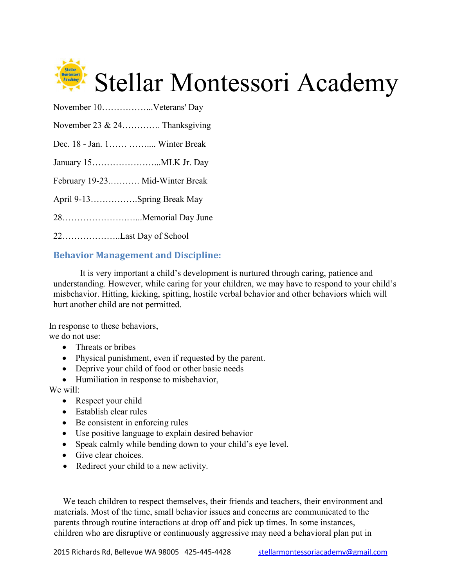

| November 23 & 24 Thanksgiving   |
|---------------------------------|
| Dec. 18 - Jan. 1  Winter Break  |
|                                 |
| February 19-23 Mid-Winter Break |
| April 9-13Spring Break May      |
|                                 |
| 22Last Day of School            |

November 10……………...Veterans' Day

# Behavior Management and Discipline:

It is very important a child's development is nurtured through caring, patience and understanding. However, while caring for your children, we may have to respond to your child's misbehavior. Hitting, kicking, spitting, hostile verbal behavior and other behaviors which will hurt another child are not permitted.

In response to these behaviors, we do not use:

- Threats or bribes
- Physical punishment, even if requested by the parent.
- Deprive your child of food or other basic needs
- Humiliation in response to misbehavior,

We will:

- Respect your child
- Establish clear rules
- Be consistent in enforcing rules
- Use positive language to explain desired behavior
- Speak calmly while bending down to your child's eye level.
- Give clear choices.
- Redirect your child to a new activity.

We teach children to respect themselves, their friends and teachers, their environment and materials. Most of the time, small behavior issues and concerns are communicated to the parents through routine interactions at drop off and pick up times. In some instances, children who are disruptive or continuously aggressive may need a behavioral plan put in